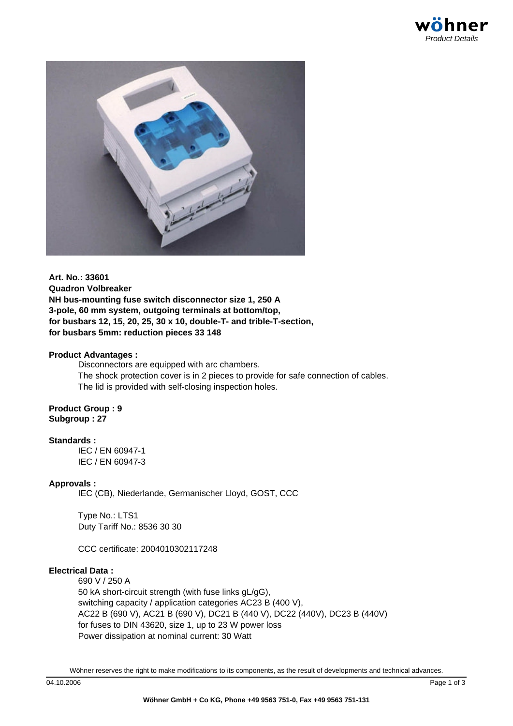

**Art. No.: 33601 Quadron Volbreaker NH bus-mounting fuse switch disconnector size 1, 250 A 3-pole, 60 mm system, outgoing terminals at bottom/top, for busbars 12, 15, 20, 25, 30 x 10, double-T- and trible-T-section, for busbars 5mm: reduction pieces 33 148**

### **Product Advantages :**

Disconnectors are equipped with arc chambers. The shock protection cover is in 2 pieces to provide for safe connection of cables. The lid is provided with self-closing inspection holes.

**Product Group : 9 Subgroup : 27**

### **Standards :**

IEC / EN 60947-1 IEC / EN 60947-3

### **Approvals :**

IEC (CB), Niederlande, Germanischer Lloyd, GOST, CCC

Type No.: LTS1 Duty Tariff No.: 8536 30 30

CCC certificate: 2004010302117248

## **Electrical Data :**

690 V / 250 A 50 kA short-circuit strength (with fuse links gL/gG), switching capacity / application categories AC23 B (400 V), AC22 B (690 V), AC21 B (690 V), DC21 B (440 V), DC22 (440V), DC23 B (440V) for fuses to DIN 43620, size 1, up to 23 W power loss Power dissipation at nominal current: 30 Watt

Wöhner reserves the right to make modifications to its components, as the result of developments and technical advances.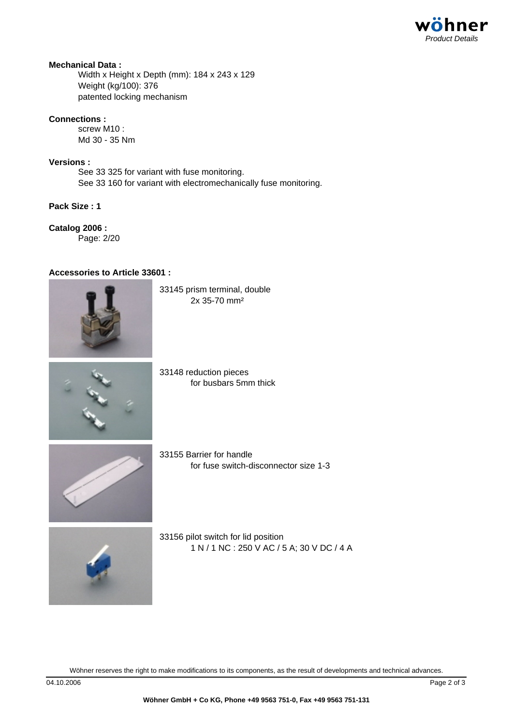## **Mechanical Data :**

Width x Height x Depth (mm): 184 x 243 x 129 Weight (kg/100): 376 patented locking mechanism

## **Connections :**

screw M10 : Md 30 - 35 Nm

## **Versions :**

See 33 325 for variant with fuse monitoring. See 33 160 for variant with electromechanically fuse monitoring.

# **Pack Size : 1**

**Catalog 2006 :** Page: 2/20

## **Accessories to Article 33601 :**



33145 prism terminal, double 2x 35-70 mm²



33148 reduction pieces for busbars 5mm thick



33155 Barrier for handle for fuse switch-disconnector size 1-3



33156 pilot switch for lid position 1 N / 1 NC : 250 V AC / 5 A; 30 V DC / 4 A

Wöhner reserves the right to make modifications to its components, as the result of developments and technical advances.